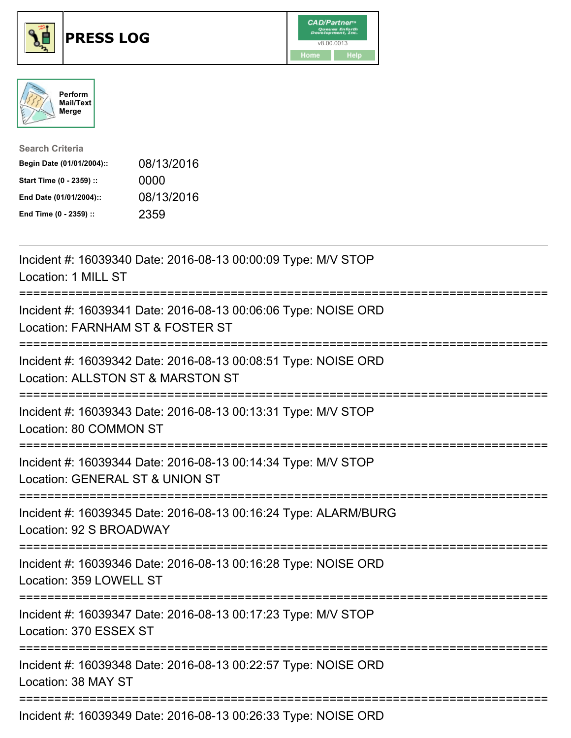





| <b>Search Criteria</b>    |            |
|---------------------------|------------|
| Begin Date (01/01/2004):: | 08/13/2016 |
| Start Time (0 - 2359) ::  | 0000       |
| End Date (01/01/2004)::   | 08/13/2016 |
| End Time (0 - 2359) ::    | 2359       |

| Incident #: 16039340 Date: 2016-08-13 00:00:09 Type: M/V STOP<br>Location: 1 MILL ST<br>===============                                                       |
|---------------------------------------------------------------------------------------------------------------------------------------------------------------|
| Incident #: 16039341 Date: 2016-08-13 00:06:06 Type: NOISE ORD<br>Location: FARNHAM ST & FOSTER ST<br>============                                            |
| Incident #: 16039342 Date: 2016-08-13 00:08:51 Type: NOISE ORD<br>Location: ALLSTON ST & MARSTON ST<br>:==========================<br>----------------------- |
| Incident #: 16039343 Date: 2016-08-13 00:13:31 Type: M/V STOP<br>Location: 80 COMMON ST                                                                       |
| Incident #: 16039344 Date: 2016-08-13 00:14:34 Type: M/V STOP<br>Location: GENERAL ST & UNION ST                                                              |
| Incident #: 16039345 Date: 2016-08-13 00:16:24 Type: ALARM/BURG<br>Location: 92 S BROADWAY                                                                    |
| Incident #: 16039346 Date: 2016-08-13 00:16:28 Type: NOISE ORD<br>Location: 359 LOWELL ST                                                                     |
| Incident #: 16039347 Date: 2016-08-13 00:17:23 Type: M/V STOP<br>Location: 370 ESSEX ST                                                                       |
| Incident #: 16039348 Date: 2016-08-13 00:22:57 Type: NOISE ORD<br>Location: 38 MAY ST                                                                         |
| Incident #: 16039349 Date: 2016-08-13 00:26:33 Type: NOISE ORD                                                                                                |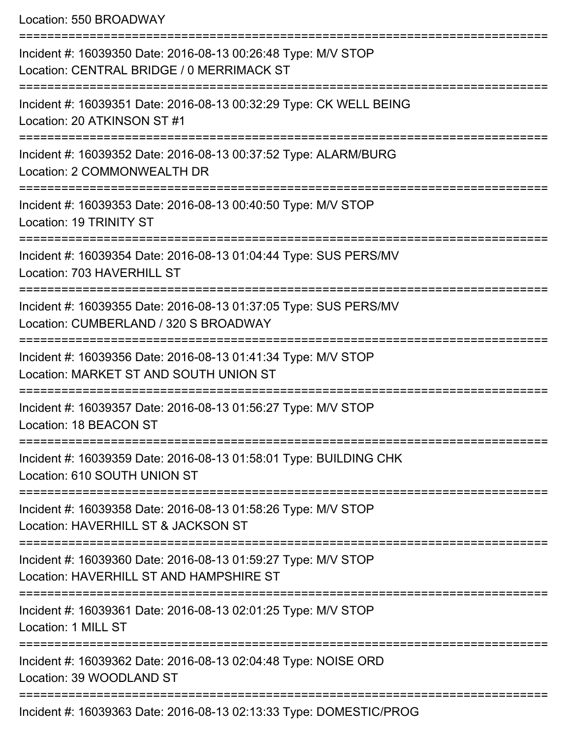Location: 550 BROADWAY

=========================================================================== Incident #: 16039350 Date: 2016-08-13 00:26:48 Type: M/V STOP Location: CENTRAL BRIDGE / 0 MERRIMACK ST =========================================================================== Incident #: 16039351 Date: 2016-08-13 00:32:29 Type: CK WELL BEING Location: 20 ATKINSON ST #1 =========================================================================== Incident #: 16039352 Date: 2016-08-13 00:37:52 Type: ALARM/BURG Location: 2 COMMONWEALTH DR =========================================================================== Incident #: 16039353 Date: 2016-08-13 00:40:50 Type: M/V STOP Location: 19 TRINITY ST =========================================================================== Incident #: 16039354 Date: 2016-08-13 01:04:44 Type: SUS PERS/MV Location: 703 HAVERHILL ST =========================================================================== Incident #: 16039355 Date: 2016-08-13 01:37:05 Type: SUS PERS/MV Location: CUMBERLAND / 320 S BROADWAY =========================================================================== Incident #: 16039356 Date: 2016-08-13 01:41:34 Type: M/V STOP Location: MARKET ST AND SOUTH UNION ST =========================================================================== Incident #: 16039357 Date: 2016-08-13 01:56:27 Type: M/V STOP Location: 18 BEACON ST =========================================================================== Incident #: 16039359 Date: 2016-08-13 01:58:01 Type: BUILDING CHK Location: 610 SOUTH UNION ST =========================================================================== Incident #: 16039358 Date: 2016-08-13 01:58:26 Type: M/V STOP Location: HAVERHILL ST & JACKSON ST =========================================================================== Incident #: 16039360 Date: 2016-08-13 01:59:27 Type: M/V STOP Location: HAVERHILL ST AND HAMPSHIRE ST =========================================================================== Incident #: 16039361 Date: 2016-08-13 02:01:25 Type: M/V STOP Location: 1 MILL ST =========================================================================== Incident #: 16039362 Date: 2016-08-13 02:04:48 Type: NOISE ORD Location: 39 WOODLAND ST =========================================================================== Incident #: 16039363 Date: 2016-08-13 02:13:33 Type: DOMESTIC/PROG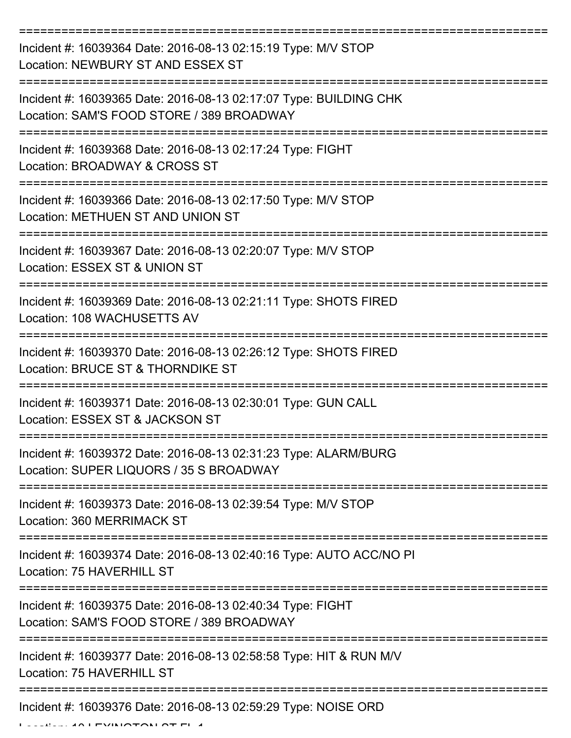| Incident #: 16039364 Date: 2016-08-13 02:15:19 Type: M/V STOP<br>Location: NEWBURY ST AND ESSEX ST             |
|----------------------------------------------------------------------------------------------------------------|
| Incident #: 16039365 Date: 2016-08-13 02:17:07 Type: BUILDING CHK<br>Location: SAM'S FOOD STORE / 389 BROADWAY |
| Incident #: 16039368 Date: 2016-08-13 02:17:24 Type: FIGHT<br>Location: BROADWAY & CROSS ST                    |
| Incident #: 16039366 Date: 2016-08-13 02:17:50 Type: M/V STOP<br>Location: METHUEN ST AND UNION ST             |
| Incident #: 16039367 Date: 2016-08-13 02:20:07 Type: M/V STOP<br>Location: ESSEX ST & UNION ST                 |
| Incident #: 16039369 Date: 2016-08-13 02:21:11 Type: SHOTS FIRED<br>Location: 108 WACHUSETTS AV                |
| Incident #: 16039370 Date: 2016-08-13 02:26:12 Type: SHOTS FIRED<br>Location: BRUCE ST & THORNDIKE ST          |
| Incident #: 16039371 Date: 2016-08-13 02:30:01 Type: GUN CALL<br>Location: ESSEX ST & JACKSON ST               |
| Incident #: 16039372 Date: 2016-08-13 02:31:23 Type: ALARM/BURG<br>Location: SUPER LIQUORS / 35 S BROADWAY     |
| Incident #: 16039373 Date: 2016-08-13 02:39:54 Type: M/V STOP<br>Location: 360 MERRIMACK ST                    |
| Incident #: 16039374 Date: 2016-08-13 02:40:16 Type: AUTO ACC/NO PI<br>Location: 75 HAVERHILL ST               |
| Incident #: 16039375 Date: 2016-08-13 02:40:34 Type: FIGHT<br>Location: SAM'S FOOD STORE / 389 BROADWAY        |
| Incident #: 16039377 Date: 2016-08-13 02:58:58 Type: HIT & RUN M/V<br>Location: 75 HAVERHILL ST                |
| Incident #: 16039376 Date: 2016-08-13 02:59:29 Type: NOISE ORD                                                 |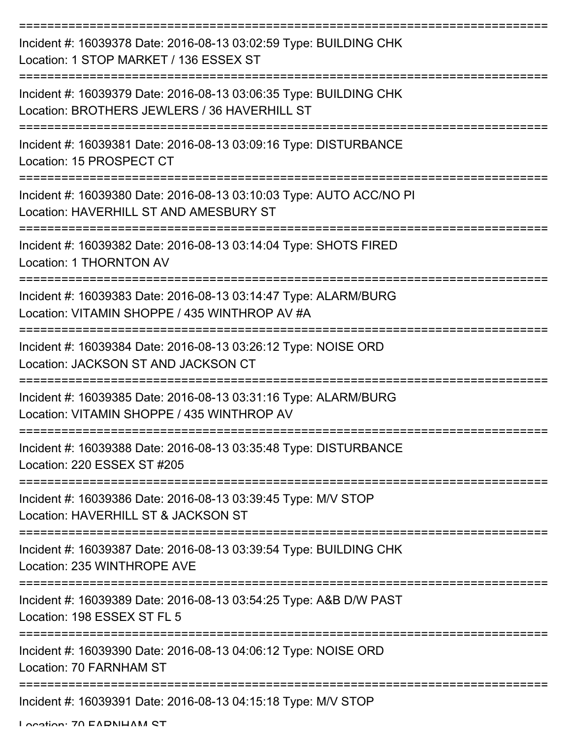| Incident #: 16039378 Date: 2016-08-13 03:02:59 Type: BUILDING CHK<br>Location: 1 STOP MARKET / 136 ESSEX ST       |
|-------------------------------------------------------------------------------------------------------------------|
| Incident #: 16039379 Date: 2016-08-13 03:06:35 Type: BUILDING CHK<br>Location: BROTHERS JEWLERS / 36 HAVERHILL ST |
| Incident #: 16039381 Date: 2016-08-13 03:09:16 Type: DISTURBANCE<br>Location: 15 PROSPECT CT                      |
| Incident #: 16039380 Date: 2016-08-13 03:10:03 Type: AUTO ACC/NO PI<br>Location: HAVERHILL ST AND AMESBURY ST     |
| Incident #: 16039382 Date: 2016-08-13 03:14:04 Type: SHOTS FIRED<br><b>Location: 1 THORNTON AV</b>                |
| Incident #: 16039383 Date: 2016-08-13 03:14:47 Type: ALARM/BURG<br>Location: VITAMIN SHOPPE / 435 WINTHROP AV #A  |
| Incident #: 16039384 Date: 2016-08-13 03:26:12 Type: NOISE ORD<br>Location: JACKSON ST AND JACKSON CT             |
| Incident #: 16039385 Date: 2016-08-13 03:31:16 Type: ALARM/BURG<br>Location: VITAMIN SHOPPE / 435 WINTHROP AV     |
| Incident #: 16039388 Date: 2016-08-13 03:35:48 Type: DISTURBANCE<br>Location: 220 ESSEX ST #205                   |
| Incident #: 16039386 Date: 2016-08-13 03:39:45 Type: M/V STOP<br>Location: HAVERHILL ST & JACKSON ST              |
| Incident #: 16039387 Date: 2016-08-13 03:39:54 Type: BUILDING CHK<br>Location: 235 WINTHROPE AVE                  |
| Incident #: 16039389 Date: 2016-08-13 03:54:25 Type: A&B D/W PAST<br>Location: 198 ESSEX ST FL 5                  |
| Incident #: 16039390 Date: 2016-08-13 04:06:12 Type: NOISE ORD<br>Location: 70 FARNHAM ST                         |
| Incident #: 16039391 Date: 2016-08-13 04:15:18 Type: M/V STOP                                                     |

Location: 70 EADNIHAM CT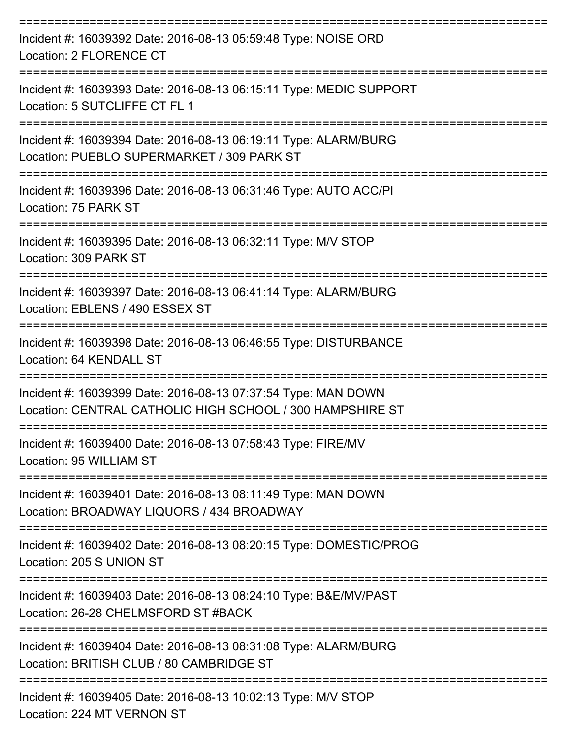| Incident #: 16039392 Date: 2016-08-13 05:59:48 Type: NOISE ORD<br>Location: 2 FLORENCE CT                                   |
|-----------------------------------------------------------------------------------------------------------------------------|
| Incident #: 16039393 Date: 2016-08-13 06:15:11 Type: MEDIC SUPPORT<br>Location: 5 SUTCLIFFE CT FL 1<br>:=================== |
| Incident #: 16039394 Date: 2016-08-13 06:19:11 Type: ALARM/BURG<br>Location: PUEBLO SUPERMARKET / 309 PARK ST               |
| Incident #: 16039396 Date: 2016-08-13 06:31:46 Type: AUTO ACC/PI<br>Location: 75 PARK ST                                    |
| Incident #: 16039395 Date: 2016-08-13 06:32:11 Type: M/V STOP<br>Location: 309 PARK ST                                      |
| Incident #: 16039397 Date: 2016-08-13 06:41:14 Type: ALARM/BURG<br>Location: EBLENS / 490 ESSEX ST                          |
| Incident #: 16039398 Date: 2016-08-13 06:46:55 Type: DISTURBANCE<br>Location: 64 KENDALL ST                                 |
| Incident #: 16039399 Date: 2016-08-13 07:37:54 Type: MAN DOWN<br>Location: CENTRAL CATHOLIC HIGH SCHOOL / 300 HAMPSHIRE ST  |
| Incident #: 16039400 Date: 2016-08-13 07:58:43 Type: FIRE/MV<br>Location: 95 WILLIAM ST                                     |
| Incident #: 16039401 Date: 2016-08-13 08:11:49 Type: MAN DOWN<br>Location: BROADWAY LIQUORS / 434 BROADWAY                  |
| Incident #: 16039402 Date: 2016-08-13 08:20:15 Type: DOMESTIC/PROG<br>Location: 205 S UNION ST                              |
| Incident #: 16039403 Date: 2016-08-13 08:24:10 Type: B&E/MV/PAST<br>Location: 26-28 CHELMSFORD ST #BACK                     |
| Incident #: 16039404 Date: 2016-08-13 08:31:08 Type: ALARM/BURG<br>Location: BRITISH CLUB / 80 CAMBRIDGE ST                 |
| Incident #: 16039405 Date: 2016-08-13 10:02:13 Type: M/V STOP                                                               |

Location: 224 MT VERNON ST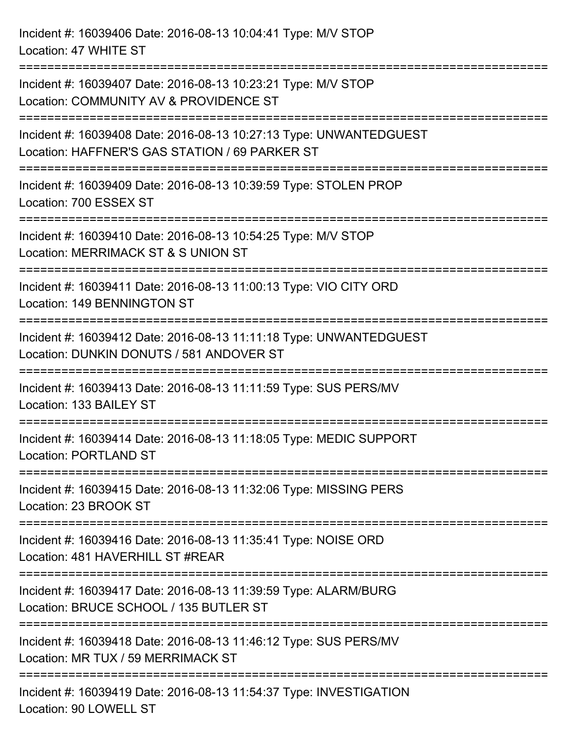Incident #: 16039406 Date: 2016-08-13 10:04:41 Type: M/V STOP Location: 47 WHITE ST =========================================================================== Incident #: 16039407 Date: 2016-08-13 10:23:21 Type: M/V STOP Location: COMMUNITY AV & PROVIDENCE ST =========================================================================== Incident #: 16039408 Date: 2016-08-13 10:27:13 Type: UNWANTEDGUEST Location: HAFFNER'S GAS STATION / 69 PARKER ST =========================================================================== Incident #: 16039409 Date: 2016-08-13 10:39:59 Type: STOLEN PROP Location: 700 ESSEX ST =========================================================================== Incident #: 16039410 Date: 2016-08-13 10:54:25 Type: M/V STOP Location: MERRIMACK ST & S UNION ST =========================================================================== Incident #: 16039411 Date: 2016-08-13 11:00:13 Type: VIO CITY ORD Location: 149 BENNINGTON ST =========================================================================== Incident #: 16039412 Date: 2016-08-13 11:11:18 Type: UNWANTEDGUEST Location: DUNKIN DONUTS / 581 ANDOVER ST =========================================================================== Incident #: 16039413 Date: 2016-08-13 11:11:59 Type: SUS PERS/MV Location: 133 BAILEY ST =========================================================================== Incident #: 16039414 Date: 2016-08-13 11:18:05 Type: MEDIC SUPPORT Location: PORTLAND ST =========================================================================== Incident #: 16039415 Date: 2016-08-13 11:32:06 Type: MISSING PERS Location: 23 BROOK ST =========================================================================== Incident #: 16039416 Date: 2016-08-13 11:35:41 Type: NOISE ORD Location: 481 HAVERHILL ST #REAR =========================================================================== Incident #: 16039417 Date: 2016-08-13 11:39:59 Type: ALARM/BURG Location: BRUCE SCHOOL / 135 BUTLER ST =========================================================================== Incident #: 16039418 Date: 2016-08-13 11:46:12 Type: SUS PERS/MV Location: MR TUX / 59 MERRIMACK ST ===========================================================================

Incident #: 16039419 Date: 2016-08-13 11:54:37 Type: INVESTIGATION Location: 90 LOWELL ST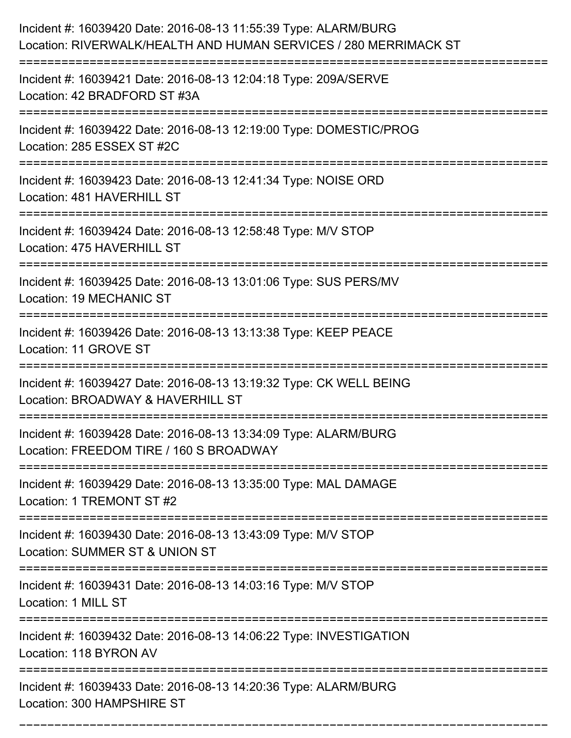| Incident #: 16039420 Date: 2016-08-13 11:55:39 Type: ALARM/BURG<br>Location: RIVERWALK/HEALTH AND HUMAN SERVICES / 280 MERRIMACK ST |
|-------------------------------------------------------------------------------------------------------------------------------------|
| Incident #: 16039421 Date: 2016-08-13 12:04:18 Type: 209A/SERVE<br>Location: 42 BRADFORD ST #3A                                     |
| Incident #: 16039422 Date: 2016-08-13 12:19:00 Type: DOMESTIC/PROG<br>Location: 285 ESSEX ST #2C<br>:========================       |
| Incident #: 16039423 Date: 2016-08-13 12:41:34 Type: NOISE ORD<br>Location: 481 HAVERHILL ST                                        |
| Incident #: 16039424 Date: 2016-08-13 12:58:48 Type: M/V STOP<br>Location: 475 HAVERHILL ST                                         |
| Incident #: 16039425 Date: 2016-08-13 13:01:06 Type: SUS PERS/MV<br>Location: 19 MECHANIC ST                                        |
| Incident #: 16039426 Date: 2016-08-13 13:13:38 Type: KEEP PEACE<br>Location: 11 GROVE ST                                            |
| Incident #: 16039427 Date: 2016-08-13 13:19:32 Type: CK WELL BEING<br>Location: BROADWAY & HAVERHILL ST                             |
| Incident #: 16039428 Date: 2016-08-13 13:34:09 Type: ALARM/BURG<br>Location: FREEDOM TIRE / 160 S BROADWAY                          |
| Incident #: 16039429 Date: 2016-08-13 13:35:00 Type: MAL DAMAGE<br>Location: 1 TREMONT ST #2                                        |
| ===============================<br>Incident #: 16039430 Date: 2016-08-13 13:43:09 Type: M/V STOP<br>Location: SUMMER ST & UNION ST  |
| Incident #: 16039431 Date: 2016-08-13 14:03:16 Type: M/V STOP<br>Location: 1 MILL ST                                                |
| Incident #: 16039432 Date: 2016-08-13 14:06:22 Type: INVESTIGATION<br>Location: 118 BYRON AV                                        |
| Incident #: 16039433 Date: 2016-08-13 14:20:36 Type: ALARM/BURG<br>Location: 300 HAMPSHIRE ST                                       |

===========================================================================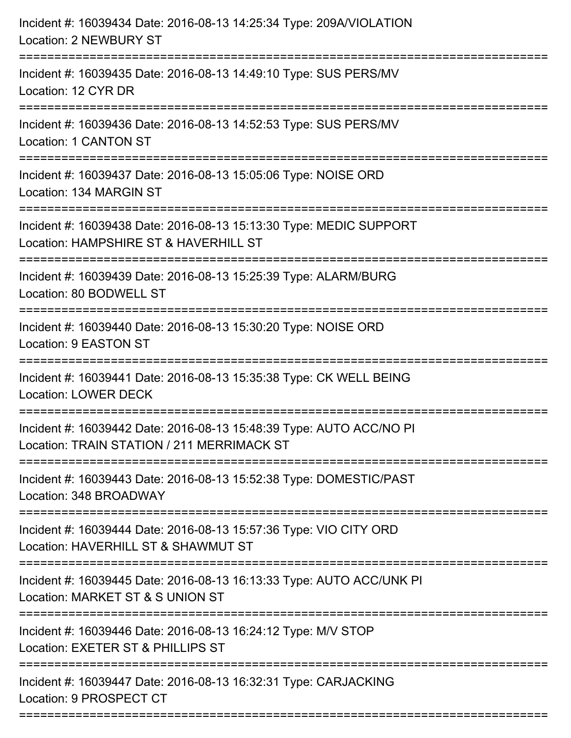| Incident #: 16039434 Date: 2016-08-13 14:25:34 Type: 209A/VIOLATION<br><b>Location: 2 NEWBURY ST</b><br>================================= |
|-------------------------------------------------------------------------------------------------------------------------------------------|
| Incident #: 16039435 Date: 2016-08-13 14:49:10 Type: SUS PERS/MV<br>Location: 12 CYR DR                                                   |
| Incident #: 16039436 Date: 2016-08-13 14:52:53 Type: SUS PERS/MV<br><b>Location: 1 CANTON ST</b>                                          |
| Incident #: 16039437 Date: 2016-08-13 15:05:06 Type: NOISE ORD<br>Location: 134 MARGIN ST                                                 |
| Incident #: 16039438 Date: 2016-08-13 15:13:30 Type: MEDIC SUPPORT<br>Location: HAMPSHIRE ST & HAVERHILL ST                               |
| Incident #: 16039439 Date: 2016-08-13 15:25:39 Type: ALARM/BURG<br>Location: 80 BODWELL ST                                                |
| Incident #: 16039440 Date: 2016-08-13 15:30:20 Type: NOISE ORD<br>Location: 9 EASTON ST                                                   |
| Incident #: 16039441 Date: 2016-08-13 15:35:38 Type: CK WELL BEING<br><b>Location: LOWER DECK</b>                                         |
| Incident #: 16039442 Date: 2016-08-13 15:48:39 Type: AUTO ACC/NO PI<br>Location: TRAIN STATION / 211 MERRIMACK ST                         |
| Incident #: 16039443 Date: 2016-08-13 15:52:38 Type: DOMESTIC/PAST<br>Location: 348 BROADWAY                                              |
| Incident #: 16039444 Date: 2016-08-13 15:57:36 Type: VIO CITY ORD<br>Location: HAVERHILL ST & SHAWMUT ST                                  |
| Incident #: 16039445 Date: 2016-08-13 16:13:33 Type: AUTO ACC/UNK PI<br>Location: MARKET ST & S UNION ST                                  |
| Incident #: 16039446 Date: 2016-08-13 16:24:12 Type: M/V STOP<br>Location: EXETER ST & PHILLIPS ST                                        |
| Incident #: 16039447 Date: 2016-08-13 16:32:31 Type: CARJACKING<br>Location: 9 PROSPECT CT                                                |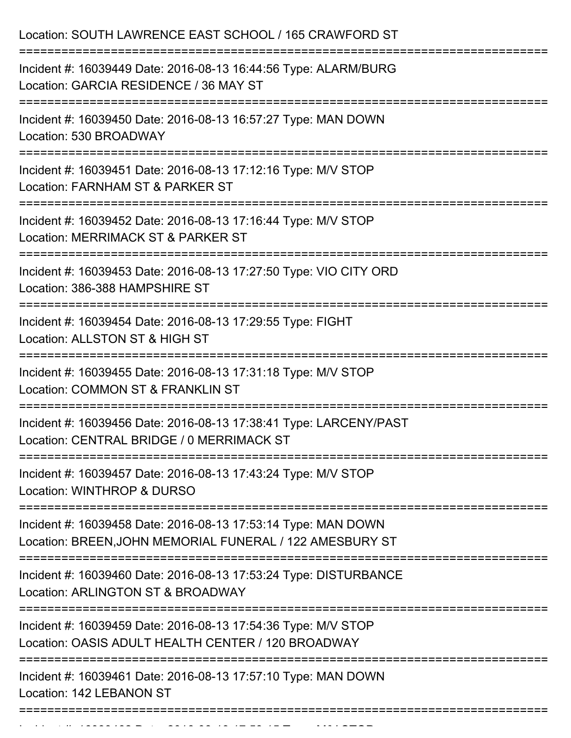| Location: SOUTH LAWRENCE EAST SCHOOL / 165 CRAWFORD ST                                                                    |
|---------------------------------------------------------------------------------------------------------------------------|
| Incident #: 16039449 Date: 2016-08-13 16:44:56 Type: ALARM/BURG<br>Location: GARCIA RESIDENCE / 36 MAY ST                 |
| Incident #: 16039450 Date: 2016-08-13 16:57:27 Type: MAN DOWN<br>Location: 530 BROADWAY                                   |
| Incident #: 16039451 Date: 2016-08-13 17:12:16 Type: M/V STOP<br>Location: FARNHAM ST & PARKER ST                         |
| Incident #: 16039452 Date: 2016-08-13 17:16:44 Type: M/V STOP<br>Location: MERRIMACK ST & PARKER ST                       |
| Incident #: 16039453 Date: 2016-08-13 17:27:50 Type: VIO CITY ORD<br>Location: 386-388 HAMPSHIRE ST                       |
| Incident #: 16039454 Date: 2016-08-13 17:29:55 Type: FIGHT<br>Location: ALLSTON ST & HIGH ST                              |
| Incident #: 16039455 Date: 2016-08-13 17:31:18 Type: M/V STOP<br>Location: COMMON ST & FRANKLIN ST                        |
| Incident #: 16039456 Date: 2016-08-13 17:38:41 Type: LARCENY/PAST<br>Location: CENTRAL BRIDGE / 0 MERRIMACK ST            |
| Incident #: 16039457 Date: 2016-08-13 17:43:24 Type: M/V STOP<br>Location: WINTHROP & DURSO                               |
| Incident #: 16039458 Date: 2016-08-13 17:53:14 Type: MAN DOWN<br>Location: BREEN, JOHN MEMORIAL FUNERAL / 122 AMESBURY ST |
| Incident #: 16039460 Date: 2016-08-13 17:53:24 Type: DISTURBANCE<br>Location: ARLINGTON ST & BROADWAY                     |
| Incident #: 16039459 Date: 2016-08-13 17:54:36 Type: M/V STOP<br>Location: OASIS ADULT HEALTH CENTER / 120 BROADWAY       |
| Incident #: 16039461 Date: 2016-08-13 17:57:10 Type: MAN DOWN<br>Location: 142 LEBANON ST                                 |
|                                                                                                                           |

Incident #: 16039462 Date: 2016 08 13 17:58:15 Type: M/V STOP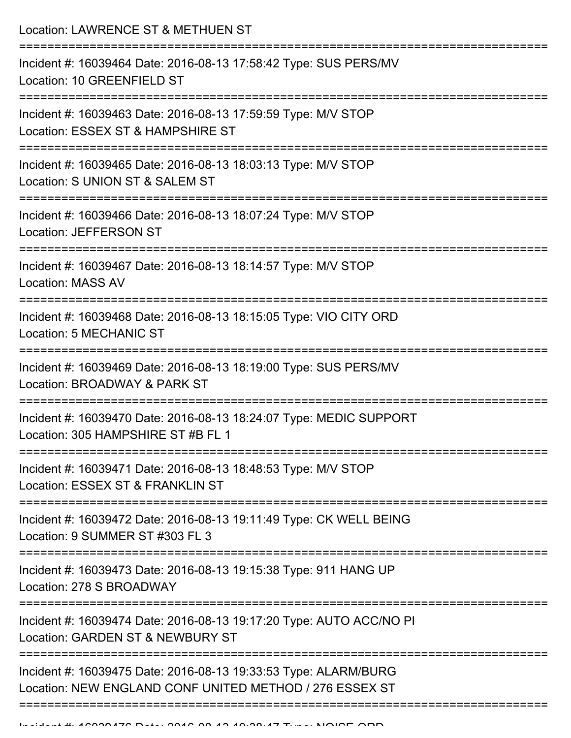Location: LAWRENCE ST & METHUEN ST

| Incident #: 16039464 Date: 2016-08-13 17:58:42 Type: SUS PERS/MV<br>Location: 10 GREENFIELD ST                                                                   |
|------------------------------------------------------------------------------------------------------------------------------------------------------------------|
| ==================================<br>Incident #: 16039463 Date: 2016-08-13 17:59:59 Type: M/V STOP<br>Location: ESSEX ST & HAMPSHIRE ST<br>-------------------- |
| Incident #: 16039465 Date: 2016-08-13 18:03:13 Type: M/V STOP<br>Location: S UNION ST & SALEM ST<br>-----------------                                            |
| Incident #: 16039466 Date: 2016-08-13 18:07:24 Type: M/V STOP<br><b>Location: JEFFERSON ST</b><br>========================                                       |
| Incident #: 16039467 Date: 2016-08-13 18:14:57 Type: M/V STOP<br><b>Location: MASS AV</b>                                                                        |
| Incident #: 16039468 Date: 2016-08-13 18:15:05 Type: VIO CITY ORD<br>Location: 5 MECHANIC ST                                                                     |
| Incident #: 16039469 Date: 2016-08-13 18:19:00 Type: SUS PERS/MV<br>Location: BROADWAY & PARK ST                                                                 |
| Incident #: 16039470 Date: 2016-08-13 18:24:07 Type: MEDIC SUPPORT<br>Location: 305 HAMPSHIRE ST #B FL 1                                                         |
| Incident #: 16039471 Date: 2016-08-13 18:48:53 Type: M/V STOP<br>Location: ESSEX ST & FRANKLIN ST                                                                |
| Incident #: 16039472 Date: 2016-08-13 19:11:49 Type: CK WELL BEING<br>Location: 9 SUMMER ST #303 FL 3                                                            |
| Incident #: 16039473 Date: 2016-08-13 19:15:38 Type: 911 HANG UP<br>Location: 278 S BROADWAY                                                                     |
| Incident #: 16039474 Date: 2016-08-13 19:17:20 Type: AUTO ACC/NO PI<br>Location: GARDEN ST & NEWBURY ST                                                          |
| Incident #: 16039475 Date: 2016-08-13 19:33:53 Type: ALARM/BURG<br>Location: NEW ENGLAND CONF UNITED METHOD / 276 ESSEX ST                                       |
|                                                                                                                                                                  |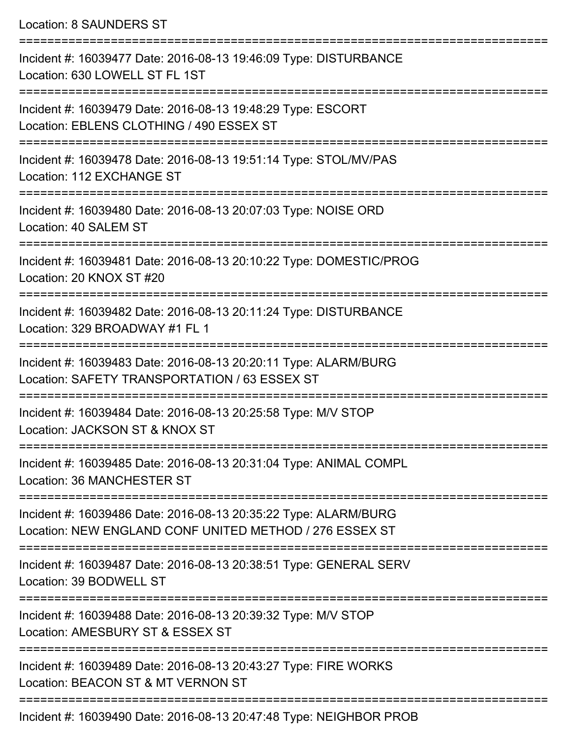Location: 8 SAUNDERS ST

=========================================================================== Incident #: 16039477 Date: 2016-08-13 19:46:09 Type: DISTURBANCE Location: 630 LOWELL ST FL 1ST =========================================================================== Incident #: 16039479 Date: 2016-08-13 19:48:29 Type: ESCORT Location: EBLENS CLOTHING / 490 ESSEX ST =========================================================================== Incident #: 16039478 Date: 2016-08-13 19:51:14 Type: STOL/MV/PAS Location: 112 EXCHANGE ST =========================================================================== Incident #: 16039480 Date: 2016-08-13 20:07:03 Type: NOISE ORD Location: 40 SALEM ST =========================================================================== Incident #: 16039481 Date: 2016-08-13 20:10:22 Type: DOMESTIC/PROG Location: 20 KNOX ST #20 =========================================================================== Incident #: 16039482 Date: 2016-08-13 20:11:24 Type: DISTURBANCE Location: 329 BROADWAY #1 FL 1 =========================================================================== Incident #: 16039483 Date: 2016-08-13 20:20:11 Type: ALARM/BURG Location: SAFETY TRANSPORTATION / 63 ESSEX ST =========================================================================== Incident #: 16039484 Date: 2016-08-13 20:25:58 Type: M/V STOP Location: JACKSON ST & KNOX ST =========================================================================== Incident #: 16039485 Date: 2016-08-13 20:31:04 Type: ANIMAL COMPL Location: 36 MANCHESTER ST =========================================================================== Incident #: 16039486 Date: 2016-08-13 20:35:22 Type: ALARM/BURG Location: NEW ENGLAND CONF UNITED METHOD / 276 ESSEX ST =========================================================================== Incident #: 16039487 Date: 2016-08-13 20:38:51 Type: GENERAL SERV Location: 39 BODWELL ST =========================================================================== Incident #: 16039488 Date: 2016-08-13 20:39:32 Type: M/V STOP Location: AMESBURY ST & ESSEX ST =========================================================================== Incident #: 16039489 Date: 2016-08-13 20:43:27 Type: FIRE WORKS Location: BEACON ST & MT VERNON ST =========================================================================== Incident #: 16039490 Date: 2016-08-13 20:47:48 Type: NEIGHBOR PROB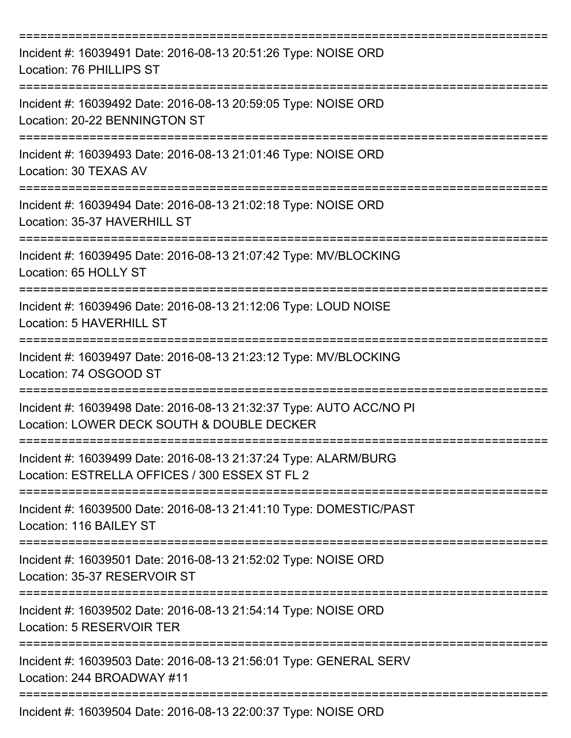| Incident #: 16039491 Date: 2016-08-13 20:51:26 Type: NOISE ORD<br>Location: 76 PHILLIPS ST<br>---------------------------------- |
|----------------------------------------------------------------------------------------------------------------------------------|
| Incident #: 16039492 Date: 2016-08-13 20:59:05 Type: NOISE ORD<br>Location: 20-22 BENNINGTON ST                                  |
| Incident #: 16039493 Date: 2016-08-13 21:01:46 Type: NOISE ORD<br>Location: 30 TEXAS AV                                          |
| Incident #: 16039494 Date: 2016-08-13 21:02:18 Type: NOISE ORD<br>Location: 35-37 HAVERHILL ST                                   |
| ----------------<br>Incident #: 16039495 Date: 2016-08-13 21:07:42 Type: MV/BLOCKING<br>Location: 65 HOLLY ST                    |
| Incident #: 16039496 Date: 2016-08-13 21:12:06 Type: LOUD NOISE<br>Location: 5 HAVERHILL ST                                      |
| Incident #: 16039497 Date: 2016-08-13 21:23:12 Type: MV/BLOCKING<br>Location: 74 OSGOOD ST                                       |
| Incident #: 16039498 Date: 2016-08-13 21:32:37 Type: AUTO ACC/NO PI<br>Location: LOWER DECK SOUTH & DOUBLE DECKER                |
| Incident #: 16039499 Date: 2016-08-13 21:37:24 Type: ALARM/BURG<br>Location: ESTRELLA OFFICES / 300 ESSEX ST FL 2                |
| Incident #: 16039500 Date: 2016-08-13 21:41:10 Type: DOMESTIC/PAST<br>Location: 116 BAILEY ST                                    |
| Incident #: 16039501 Date: 2016-08-13 21:52:02 Type: NOISE ORD<br>Location: 35-37 RESERVOIR ST                                   |
| Incident #: 16039502 Date: 2016-08-13 21:54:14 Type: NOISE ORD<br>Location: 5 RESERVOIR TER                                      |
| Incident #: 16039503 Date: 2016-08-13 21:56:01 Type: GENERAL SERV<br>Location: 244 BROADWAY #11                                  |
| Incident #: 16039504 Date: 2016-08-13 22:00:37 Type: NOISE ORD                                                                   |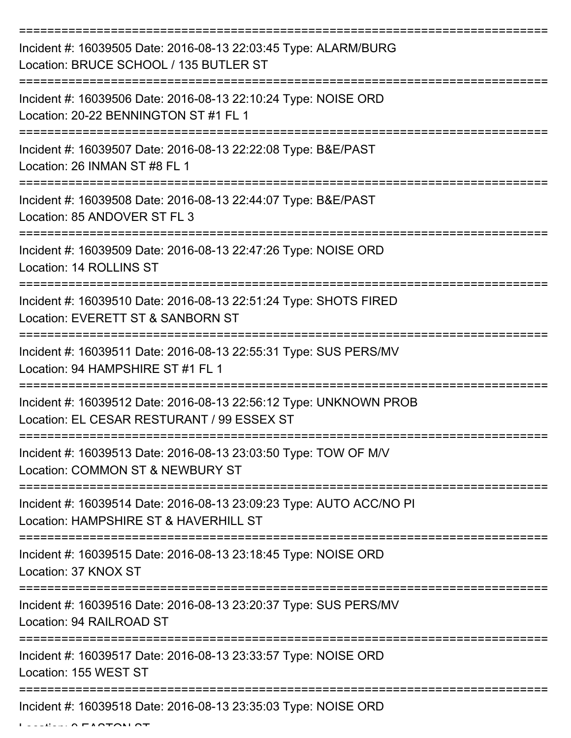| Incident #: 16039505 Date: 2016-08-13 22:03:45 Type: ALARM/BURG<br>Location: BRUCE SCHOOL / 135 BUTLER ST       |
|-----------------------------------------------------------------------------------------------------------------|
| Incident #: 16039506 Date: 2016-08-13 22:10:24 Type: NOISE ORD<br>Location: 20-22 BENNINGTON ST #1 FL 1         |
| Incident #: 16039507 Date: 2016-08-13 22:22:08 Type: B&E/PAST<br>Location: 26 INMAN ST #8 FL 1                  |
| Incident #: 16039508 Date: 2016-08-13 22:44:07 Type: B&E/PAST<br>Location: 85 ANDOVER ST FL 3                   |
| Incident #: 16039509 Date: 2016-08-13 22:47:26 Type: NOISE ORD<br>Location: 14 ROLLINS ST                       |
| Incident #: 16039510 Date: 2016-08-13 22:51:24 Type: SHOTS FIRED<br>Location: EVERETT ST & SANBORN ST           |
| Incident #: 16039511 Date: 2016-08-13 22:55:31 Type: SUS PERS/MV<br>Location: 94 HAMPSHIRE ST #1 FL 1           |
| Incident #: 16039512 Date: 2016-08-13 22:56:12 Type: UNKNOWN PROB<br>Location: EL CESAR RESTURANT / 99 ESSEX ST |
| Incident #: 16039513 Date: 2016-08-13 23:03:50 Type: TOW OF M/V<br>Location: COMMON ST & NEWBURY ST             |
| Incident #: 16039514 Date: 2016-08-13 23:09:23 Type: AUTO ACC/NO PI<br>Location: HAMPSHIRE ST & HAVERHILL ST    |
| Incident #: 16039515 Date: 2016-08-13 23:18:45 Type: NOISE ORD<br>Location: 37 KNOX ST                          |
| Incident #: 16039516 Date: 2016-08-13 23:20:37 Type: SUS PERS/MV<br>Location: 94 RAILROAD ST                    |
| Incident #: 16039517 Date: 2016-08-13 23:33:57 Type: NOISE ORD<br>Location: 155 WEST ST                         |
| Incident #: 16039518 Date: 2016-08-13 23:35:03 Type: NOISE ORD                                                  |

 $L = LL = L \wedge F + \wedge T \wedge T$